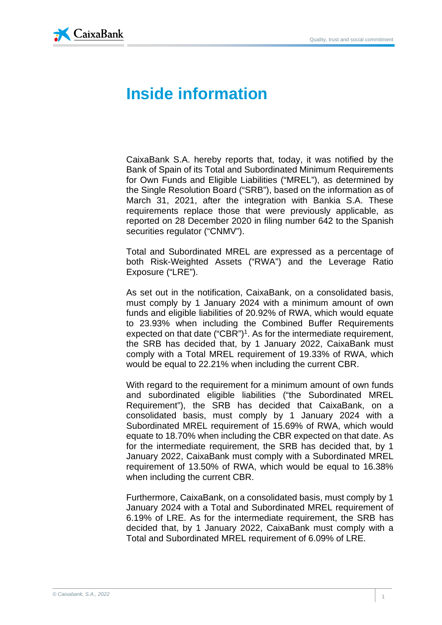

## **Inside information**

CaixaBank S.A. hereby reports that, today, it was notified by the Bank of Spain of its Total and Subordinated Minimum Requirements for Own Funds and Eligible Liabilities ("MREL"), as determined by the Single Resolution Board ("SRB"), based on the information as of March 31, 2021, after the integration with Bankia S.A. These requirements replace those that were previously applicable, as reported on 28 December 2020 in filing number 642 to the Spanish securities regulator ("CNMV").

Total and Subordinated MREL are expressed as a percentage of both Risk-Weighted Assets ("RWA") and the Leverage Ratio Exposure ("LRE").

As set out in the notification, CaixaBank, on a consolidated basis, must comply by 1 January 2024 with a minimum amount of own funds and eligible liabilities of 20.92% of RWA, which would equate to 23.93% when including the Combined Buffer Requirements expected on that date  $("CBR")<sup>1</sup>$ . As for the intermediate requirement, the SRB has decided that, by 1 January 2022, CaixaBank must comply with a Total MREL requirement of 19.33% of RWA, which would be equal to 22.21% when including the current CBR.

With regard to the requirement for a minimum amount of own funds and subordinated eligible liabilities ("the Subordinated MREL Requirement"), the SRB has decided that CaixaBank, on a consolidated basis, must comply by 1 January 2024 with a Subordinated MREL requirement of 15.69% of RWA, which would equate to 18.70% when including the CBR expected on that date. As for the intermediate requirement, the SRB has decided that, by 1 January 2022, CaixaBank must comply with a Subordinated MREL requirement of 13.50% of RWA, which would be equal to 16.38% when including the current CBR.

Furthermore, CaixaBank, on a consolidated basis, must comply by 1 January 2024 with a Total and Subordinated MREL requirement of 6.19% of LRE. As for the intermediate requirement, the SRB has decided that, by 1 January 2022, CaixaBank must comply with a Total and Subordinated MREL requirement of 6.09% of LRE.